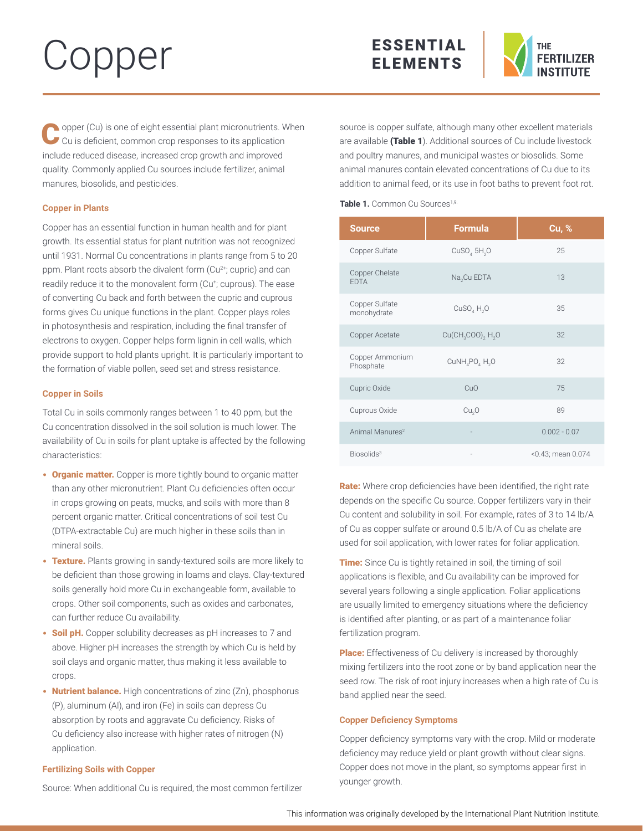# Copper





Opper (Cu) is one of eight essential plant micronutrients. When Cu is deficient, common crop responses to its application include reduced disease, increased crop growth and improved quality. Commonly applied Cu sources include fertilizer, animal manures, biosolids, and pesticides.

# **Copper in Plants**

Copper has an essential function in human health and for plant growth. Its essential status for plant nutrition was not recognized until 1931. Normal Cu concentrations in plants range from 5 to 20 ppm. Plant roots absorb the divalent form (Cu<sup>2+</sup>; cupric) and can readily reduce it to the monovalent form (Cu<sup>+</sup>; cuprous). The ease of converting Cu back and forth between the cupric and cuprous forms gives Cu unique functions in the plant. Copper plays roles in photosynthesis and respiration, including the final transfer of electrons to oxygen. Copper helps form lignin in cell walls, which provide support to hold plants upright. It is particularly important to the formation of viable pollen, seed set and stress resistance.

# **Copper in Soils**

Total Cu in soils commonly ranges between 1 to 40 ppm, but the Cu concentration dissolved in the soil solution is much lower. The availability of Cu in soils for plant uptake is affected by the following characteristics:

- **Organic matter.** Copper is more tightly bound to organic matter than any other micronutrient. Plant Cu deficiencies often occur in crops growing on peats, mucks, and soils with more than 8 percent organic matter. Critical concentrations of soil test Cu (DTPA-extractable Cu) are much higher in these soils than in mineral soils.
- Texture. Plants growing in sandy-textured soils are more likely to be deficient than those growing in loams and clays. Clay-textured soils generally hold more Cu in exchangeable form, available to crops. Other soil components, such as oxides and carbonates, can further reduce Cu availability.
- Soil pH. Copper solubility decreases as pH increases to 7 and above. Higher pH increases the strength by which Cu is held by soil clays and organic matter, thus making it less available to crops.
- Nutrient balance. High concentrations of zinc (Zn), phosphorus (P), aluminum (Al), and iron (Fe) in soils can depress Cu absorption by roots and aggravate Cu deficiency. Risks of Cu deficiency also increase with higher rates of nitrogen (N) application.

# **Fertilizing Soils with Copper**

Source: When additional Cu is required, the most common fertilizer

source is copper sulfate, although many other excellent materials are available (Table 1). Additional sources of Cu include livestock and poultry manures, and municipal wastes or biosolids. Some animal manures contain elevated concentrations of Cu due to its addition to animal feed, or its use in foot baths to prevent foot rot.

### Table 1. Common Cu Sources<sup>1,9.</sup>

| <b>Source</b>                 | <b>Formula</b>                                     | <b>Cu, %</b>      |
|-------------------------------|----------------------------------------------------|-------------------|
| Copper Sulfate                | $CuSO4$ 5H <sub>2</sub> O                          | 25                |
| Copper Chelate<br><b>FDTA</b> | Na <sub>2</sub> Cu EDTA                            | 13                |
| Copper Sulfate<br>monohydrate | CuSO, H, O                                         | 35                |
| Copper Acetate                | $Cu(CH_3COO)$ <sub>2</sub> H <sub>2</sub> O        | 32                |
| Copper Ammonium<br>Phosphate  | CuNH <sub>4</sub> PO <sub>4</sub> H <sub>2</sub> O | 32                |
| Cupric Oxide                  | CuO                                                | 75                |
| Cuprous Oxide                 | Cu <sub>2</sub> O                                  | 89                |
| Animal Manures <sup>2</sup>   |                                                    | $0.002 - 0.07$    |
| Biosolids <sup>3</sup>        |                                                    | <0.43; mean 0.074 |

Rate: Where crop deficiencies have been identified, the right rate depends on the specific Cu source. Copper fertilizers vary in their Cu content and solubility in soil. For example, rates of 3 to 14 lb/A of Cu as copper sulfate or around 0.5 lb/A of Cu as chelate are used for soil application, with lower rates for foliar application.

**Time:** Since Cu is tightly retained in soil, the timing of soil applications is flexible, and Cu availability can be improved for several years following a single application. Foliar applications are usually limited to emergency situations where the deficiency is identified after planting, or as part of a maintenance foliar fertilization program.

Place: Effectiveness of Cu delivery is increased by thoroughly mixing fertilizers into the root zone or by band application near the seed row. The risk of root injury increases when a high rate of Cu is band applied near the seed.

## **Copper Deficiency Symptoms**

Copper deficiency symptoms vary with the crop. Mild or moderate deficiency may reduce yield or plant growth without clear signs. Copper does not move in the plant, so symptoms appear first in younger growth.